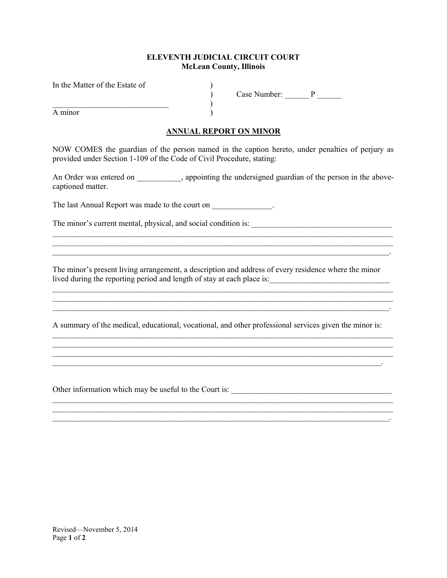## ELEVENTH JUDICIAL CIRCUIT COURT McLean County, Illinois

In the Matter of the Estate of

 $)$ 

A minor )

 $\overrightarrow{P}$  Case Number:  $\overrightarrow{P}$  \_\_\_\_\_\_\_\_\_

## ANNUAL REPORT ON MINOR

NOW COMES the guardian of the person named in the caption hereto, under penalties of perjury as provided under Section 1-109 of the Code of Civil Procedure, stating:

An Order was entered on  $\qquad \qquad$ , appointing the undersigned guardian of the person in the abovecaptioned matter.

The last Annual Report was made to the court on  $\cdot$ 

\_\_\_\_\_\_\_\_\_\_\_\_\_\_\_\_\_\_\_\_\_\_\_\_\_\_\_\_\_\_\_\_\_\_\_\_\_\_\_\_\_\_\_\_\_\_\_\_\_\_\_\_\_\_\_\_\_\_\_\_\_\_\_\_\_\_\_\_\_\_\_\_\_\_\_\_\_\_\_\_\_\_\_\_.

The minor's current mental, physical, and social condition is: \_\_\_\_\_\_\_\_\_\_\_\_\_\_\_\_\_\_\_\_\_\_\_\_\_\_\_\_\_\_\_\_\_\_\_

The minor's present living arrangement, a description and address of every residence where the minor lived during the reporting period and length of stay at each place is:\_\_\_\_\_\_\_\_\_\_\_\_\_\_\_\_\_\_\_\_\_\_\_\_\_\_\_\_\_\_

 $\mathcal{L}_\mathcal{L} = \{ \mathcal{L}_\mathcal{L} = \{ \mathcal{L}_\mathcal{L} = \{ \mathcal{L}_\mathcal{L} = \{ \mathcal{L}_\mathcal{L} = \{ \mathcal{L}_\mathcal{L} = \{ \mathcal{L}_\mathcal{L} = \{ \mathcal{L}_\mathcal{L} = \{ \mathcal{L}_\mathcal{L} = \{ \mathcal{L}_\mathcal{L} = \{ \mathcal{L}_\mathcal{L} = \{ \mathcal{L}_\mathcal{L} = \{ \mathcal{L}_\mathcal{L} = \{ \mathcal{L}_\mathcal{L} = \{ \mathcal{L}_\mathcal{$ 

 $\mathcal{L}_\mathcal{L} = \mathcal{L}_\mathcal{L} = \mathcal{L}_\mathcal{L} = \mathcal{L}_\mathcal{L} = \mathcal{L}_\mathcal{L} = \mathcal{L}_\mathcal{L} = \mathcal{L}_\mathcal{L} = \mathcal{L}_\mathcal{L} = \mathcal{L}_\mathcal{L} = \mathcal{L}_\mathcal{L} = \mathcal{L}_\mathcal{L} = \mathcal{L}_\mathcal{L} = \mathcal{L}_\mathcal{L} = \mathcal{L}_\mathcal{L} = \mathcal{L}_\mathcal{L} = \mathcal{L}_\mathcal{L} = \mathcal{L}_\mathcal{L}$ 

 $\mathcal{L}_\mathcal{L} = \{ \mathcal{L}_\mathcal{L} = \{ \mathcal{L}_\mathcal{L} = \{ \mathcal{L}_\mathcal{L} = \{ \mathcal{L}_\mathcal{L} = \{ \mathcal{L}_\mathcal{L} = \{ \mathcal{L}_\mathcal{L} = \{ \mathcal{L}_\mathcal{L} = \{ \mathcal{L}_\mathcal{L} = \{ \mathcal{L}_\mathcal{L} = \{ \mathcal{L}_\mathcal{L} = \{ \mathcal{L}_\mathcal{L} = \{ \mathcal{L}_\mathcal{L} = \{ \mathcal{L}_\mathcal{L} = \{ \mathcal{L}_\mathcal{$ 

 $\mathcal{L}=\{1,2,3,4,5\}$ 

 $\mathcal{L}_\mathcal{L} = \{ \mathcal{L}_\mathcal{L} = \{ \mathcal{L}_\mathcal{L} = \{ \mathcal{L}_\mathcal{L} = \{ \mathcal{L}_\mathcal{L} = \{ \mathcal{L}_\mathcal{L} = \{ \mathcal{L}_\mathcal{L} = \{ \mathcal{L}_\mathcal{L} = \{ \mathcal{L}_\mathcal{L} = \{ \mathcal{L}_\mathcal{L} = \{ \mathcal{L}_\mathcal{L} = \{ \mathcal{L}_\mathcal{L} = \{ \mathcal{L}_\mathcal{L} = \{ \mathcal{L}_\mathcal{L} = \{ \mathcal{L}_\mathcal{$ 

A summary of the medical, educational, vocational, and other professional services given the minor is:

 $\mathcal{L}_\mathcal{L} = \{ \mathcal{L}_\mathcal{L} = \{ \mathcal{L}_\mathcal{L} = \{ \mathcal{L}_\mathcal{L} = \{ \mathcal{L}_\mathcal{L} = \{ \mathcal{L}_\mathcal{L} = \{ \mathcal{L}_\mathcal{L} = \{ \mathcal{L}_\mathcal{L} = \{ \mathcal{L}_\mathcal{L} = \{ \mathcal{L}_\mathcal{L} = \{ \mathcal{L}_\mathcal{L} = \{ \mathcal{L}_\mathcal{L} = \{ \mathcal{L}_\mathcal{L} = \{ \mathcal{L}_\mathcal{L} = \{ \mathcal{L}_\mathcal{$  $\mathcal{L}_\mathcal{L} = \{ \mathcal{L}_\mathcal{L} = \{ \mathcal{L}_\mathcal{L} = \{ \mathcal{L}_\mathcal{L} = \{ \mathcal{L}_\mathcal{L} = \{ \mathcal{L}_\mathcal{L} = \{ \mathcal{L}_\mathcal{L} = \{ \mathcal{L}_\mathcal{L} = \{ \mathcal{L}_\mathcal{L} = \{ \mathcal{L}_\mathcal{L} = \{ \mathcal{L}_\mathcal{L} = \{ \mathcal{L}_\mathcal{L} = \{ \mathcal{L}_\mathcal{L} = \{ \mathcal{L}_\mathcal{L} = \{ \mathcal{L}_\mathcal{$ 

 $\mathcal{L}_\mathcal{L} = \{ \mathcal{L}_\mathcal{L} = \{ \mathcal{L}_\mathcal{L} = \{ \mathcal{L}_\mathcal{L} = \{ \mathcal{L}_\mathcal{L} = \{ \mathcal{L}_\mathcal{L} = \{ \mathcal{L}_\mathcal{L} = \{ \mathcal{L}_\mathcal{L} = \{ \mathcal{L}_\mathcal{L} = \{ \mathcal{L}_\mathcal{L} = \{ \mathcal{L}_\mathcal{L} = \{ \mathcal{L}_\mathcal{L} = \{ \mathcal{L}_\mathcal{L} = \{ \mathcal{L}_\mathcal{L} = \{ \mathcal{L}_\mathcal{$ 

Other information which may be useful to the Court is: